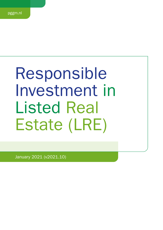# Responsible Investment in Listed Real Estate (LRE)

January 2021 (v2021.10)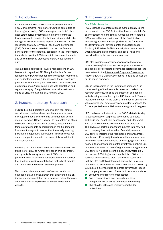## 1. Introduction

As a long-term investor, PGGM Vermogensbeheer B.V. (PGGM Investments, hereinafter PGGM) is committed to investing responsibly. PGGM manages its clients' Listed Real Estate (LRE) investments in order to contribute towards a stable pension for their participants while also taking into consideration its impact on the world. PGGM recognizes that environmental, social, and governance (ESG) factors have a material impact on the financial performance of the portfolio, especially in the longer term. As such, integrating ESG issues into investment analysis and decision-making processes is part of its fiduciary duty.

This guideline addresses PGGM's management of ESG issues with regard to LRE. The guideline is a further refinement of [PGGM's Responsible Investment Framework](https://www.pggm.nl/media/f4zoxray/responsible-investment-implementation-framework_pggm.pdf) and its implementation guidelines and the relevant fund prospectus and ancillary documentation. In addition, the obligations arising from compliance with legislation and regulations apply. The guidelines cover all investments made by LRE, effective as of 1 January 2021.

# 2. Investment strategy & approach

PGGM's LRE fund objective is to invest in real estate securities and deliver above benchmark returns on a risk-adjusted basis over the long term (full real estate cycle of between 10 to 15 years). In this bottom-up stock selection oriented investment process, material ESG factors are taken into consideration in the fundamental investment analysis to ensure that the rapidly evolving physical and regulatory ecosystems, in which these real estate companies operate, are accurately translated in our assessments.

By having in place a transparent responsible investment guideline for LRE, as further outlined in this document, and by actively taking into account ESG-related performance in investment decisions, the team believes that it offers a positive contribution that is best practice and in line with the clients' stated objectives.

The relevant standards, codes of conduct or (inter) national initiatives or legislation that apply and have an impact on implementation are discussed below. For more detailed information please see [PGGM Investments](https://www.pggm.nl/en/our-services/transparency-reports-and-policy-documents/) [website](https://www.pggm.nl/en/our-services/transparency-reports-and-policy-documents/).

## 3. Implementation

#### 3.a ESG-integration

PGGM defines ESG integration as systematically taking into account those ESG factors that have a material effect on investment risk and return. Across its entire portfolio PGGM uses the [Materiality Map of the Sustainable](https://www.sasb.org/standards-overview/materiality-map/)  [Accounting Standards Board](https://www.sasb.org/standards-overview/materiality-map/) (SASB) as the framework to identify material environmental and social issues. Similarly, LRE takes SASB Materiality Map into account when analysing environmental and social risks and opportunities in the investment process.

LRE also considers corporate governance factors to have a meaningful impact on the long-term success of companies. For corporate governance related issues, the team refers to the International Corporate Governance [Network \(ICGN\)'s Global Governance Principles](https://www.icgn.org/policy/global-governance-principles) as well as our in-house framework.

ESG is incorporated in the investment process: (1) in the screening of the investable universe to select the research universe, which is the subset of companies actively being researched by the LRE team, and (2) as an integrated element in the team's fundamental analysis to value a listed real estate company in order to assess the future expected return. Below more insights will be given.

LRE combines indicators from the SASB Materiality Map (discussed above), corporate governance datasets, GRESB (a real asset ESG benchmark), and Bloomberg ESG, to arrive at company level ESG peer analyses. This gives our portfolio managers insights into how well each company has performed on financially material ESG factors, indicates the robustness of management quality, and offers insight into how well companies have performed against competitors on managing known ESG risks. In the team's fundamental investment analysis ESG integration is aimed at identifying and translating relevant ESG factors in upside potential and/or downside risk. In principle, ESG integration is applied for 100% of the research coverage and, thus, has a wider reach than just the LRE portfolio (integrated across the universe). In addition to environmental and social factors covered by SASB, LRE also integrates corporate governance issues into company assessment. These include topics such as:

- Executive and director compensation
- Board compositions and oversight abilities **Talent** (independence, diversity, committee structures)
- Shareholder rights and minority shareholder protections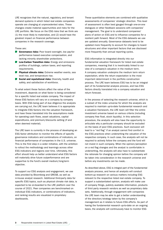LRE recognizes that the natural, regulatory, and tenant demand systems in which listed real estate companies operate are changing at unprecedented rates. These changes create material opportunities and risks for the LRE portfolio. We focus on the ESG risks that we think are (1) the most likely to materialize, and (2) would have the greatest impact on financial performance between companies in the research coverage.

#### These are:

- Governance risks: Poor board oversight, low pay-forperformance based executive compensation, and lacking minority shareholder protections.
- **Low-Carbon Transition risks:** Energy and emissions profiles of buildings, carbon taxes, and reporting requirements.
- **Physical climate risks:** Extreme weather events, sea level rise, and temperature rise.
- Social and reputational risks: Diversity, health and safety, and satisfaction of workforce.

To what extent these factors affect the value of the investment, depends on what factor is being considered for a specific listed real estate company. The impact of these ESG factors will vary on a company by company basis. With ESG being part of due diligence the analysts are carrying out, the LRE team believes it is appropriate to integrate ESG factors into the valuation framework, and have these translated into the assumptions made for operating cash flows, asset valuations, capital expenditures, and premium/discounts setting (if and when deemed material).

The LRE team is currently in the process of developing an ESG factor attribution to monitor the effects of specific governance indicators and combinations of indicators, on financial performance of companies in the U.S. universe. This is the first step in a wider initiative, with the ambition to rollout the methodology and learnings across other ESG indicators and regions over time. Ultimately, this effort should help us better understand what ESG factors will materially drive future outperformance and are supportive to the fund's overall medium/long-term objective.

To support our ESG analysis and engagement, we use data provided by Bloomberg and GRESB, as well as in-house analyst research. Additional third-party data for specific ESG topics, such as physical climate risk data, is expected to be on-boarded to the LRE platform over the course of 2021. Peer companies are benchmarked on individual ESG indicators, or combinations of indicators, and ranking results are visualized in proprietary dashboards.

These quantitative elements are combined with qualitative assessments of companies' strategic direction. This level of assessment is often best gauged through one-on-one dialogues or other feedback sessions with companies' management. The goal is to understand companies' plans of action on ESG and to influence companies for a resilient path forward. Most of the ESG datasets we use are updated annually. Governance datasets tend to be updated more frequently to account for changes to board structures and other important factors that are disclosed more frequently than annual reporting cycles.

ESG information is integrated directly into our fundamental valuation framework for listed real estate companies, meaning that it is inextricably linked to our view of a company's valuation in the medium term. A company valuation underpins the medium term return expectation, while the return expectation is the most important determinant in the portfolio construction process. The LRE team believes ESG has to be an integral part of its fundamental analysis process, and has ESG factors directly translated into a company valuation and return forecast.

In the process of selecting the research universe, which is a subset of the index universe for which the analysts are required to maintain up-to-date fundamental research and a valuation framework, the LRE team will filter the entire investment universe based on various criteria (including company free float, stock liquidity). In this selection procedure, the analysts will also have the opportunity to articulate why a particular company should be excluded on the basis of poor ESG practices. Such exclusion will lead to a "red flag" if an analyst cannot find comfort in the ESG practices when underwriting the valuation of the respective company. In such case, the analysts will not be required to actively follow the company and the fund will not invest in such company. When the opinion/perception on a red flag changes and the analyst is comfortable in underwriting, the analysts will also have to substantiate the rationale for changing opinion before the company will be taken into consideration in the research universe and before any investments can be made.

As described above, ESG is integral part of the fundamental analysis process, and hence all analysts will conduct bottom-up research on various matters including ESG relevant to the respective listed real estate company. To support a substantiated opinion, analysts will make use of company filings, publicly available information, products of third party research vendors as well as proprietary data sets. Additionally, through engagement with companies the LRE team may be able to get a better understanding of the direction/strategy taken by the company's management as it relates to future ESG efforts. As part of having the fundamental research up-to-date on an ongoing basis, the analysts will continuously have to monitor ESG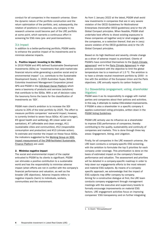conduct for all companies in the research universe. Given the dynamic nature of the portfolio construction and the return optimization of the portfolio, and, subsequently, the rotation of positions in companies, any company in the research universe could become part of the LRE portfolio at some point, which warrants a continuous effort in screening for ESG risks (pre- and post-transactions).

#### 3.b Impact

In addition to a better-performing portfolio, PGGM seeks to enhance the positive impact of its investments and to minimize adverse impacts.

#### 1. Positive impact: investing in the SDGs

In 2016 PGGM and APG defined Sustainable Development Investments (SDIs) as "investments that yield market-rate financial returns while generating a positive social and/or environmental impact" (i.e. contribute to the Sustainable Development Goals). In 2020 Australian Super, British Colombia Investment Management Corporation joined APG and PGGM in the [SDI-Asset Owner Platform](https://www.sdi-aop.org/) which owns a taxonomy of products and services (solutions) that contribute to the SDGs. With a set of decision rules the taxonomy forms the basis for the classification of investments as 'SDI'.

PGGM main client's ambition is to increase the SDI volume to 20% of the total portfolio by 2025. The effort to measure portfolio companies' real-world impact, however, is currently limited to seven focus SDGs: #2 (zero hunger), #3 (good health and wellbeing), #6 (clean water and sanitation), #7 (affordable and clean energy), #11 (sustainable cities and communities), #12 (responsible consumption and production) and #13 (climate action). To estimate and monitor the impact on these focus SDGs, the indicators suggested by the [Working Group on SDG](https://www.dnb.nl/en/green-economy/sustainable-finance-platform/sdg-impact-assessment-working-group/)  [impact measurement of the DNB-facilitated Sustainable](https://www.dnb.nl/en/green-economy/sustainable-finance-platform/sdg-impact-assessment-working-group/)  [Finance Platform](https://www.dnb.nl/en/green-economy/sustainable-finance-platform/sdg-impact-assessment-working-group/) are used.

#### 2. Minimise negative impact

The social and environmental impact of the capital entrusted to PGGM by its clients is significant. PGGM can stimulate a positive contribution to a sustainable world and has the responsibility to minimise adverse impact (when efforts are not in conflict with the company's financial performance and valuation, as well as the broader LRE objectives). Adverse impacts refers to negative impacts (harm) to individuals, workers, communities and the environment.

As from 1 January 2022 at the latest, PGGM shall avoid new investments in companies that are in very severe violation of the OECD Guidelines for Multinational Enterprises (hereinafter OECD guidelines) and/or the UN Global Compact principles. When feasible, PGGM shall undertake best efforts to divest existing exposures to these companies all together and/or shall engage with the companies, or a selection thereof, that are in (very) severe violation of the OECD guidelines and/or the UN Global Compact principles.

Based on its high likelihood and severity, climate change as a driver of adverse impact is prioritized. Clients of PGGM's have committed themselves to the [Dutch Climate](https://www.klimaatakkoord.nl/documenten/publicaties/2019/06/28/national-climate-agreement-the-netherlands)   $agreement<sup>1</sup>$  $agreement<sup>1</sup>$  and to the [Paris Climate Agreement](https://unfccc.int/sites/default/files/english_paris_agreement.pdf) to align policies consistent with the objective to limit the global temperature rise to a maximum of 1.5 °C. The ambition is to have a climate neutral investment portfolio by 2050 - in line with the ambition of the European Union and the Paris objectives. LRE annually reports its carbon footprint.

### 3.c Stewardship (engagement, voting, shareholder litigation)

PGGM sees it as its responsibility to engage with market parties and companies about their policies and activities. In this way, it attempts to realise ESG-related improvements. If PGGM is also a shareholder in a specific company it applies customized voting principles, written down in the [PGGM Voting Guidelines](https://www.pggm.nl/media/5xxhbgnv/pggm-global-voting-guidelines_2020.pdf).

PGGM LRE actively use its influence as a shareholder to improve ESG performance of companies, thereby contributing to the quality, sustainability and continuity of companies and markets. This is done through three key areas: Engagement, Voting, and Litigation.

Firstly, for all companies in the LRE research universe, the LRE team conducts a company-specific ESG screening, with the ambition to formulate the top 5 priorities for each company under coverage. This prioritization is done on the basis of estimated impact on the company's financial performance and valuation. The assessment and priorities will be detailed in a company-specific roadmap in order to help steer our engagements efforts to the most relevant and material ESG subjects. By means of a companyspecific approach, we acknowledge that the impact of ESG subjects may differ company by company. Aiming for a constructive dialogue at first, the LRE team conducts company engagement through management meetings with the executive and supervisory boards to formally encourage improvements on material ESG factors. LRE engagement activities focus on improving companies' ESG transparency and on further integrating

<sup>1</sup> In Dutch "Klimaatakkoord"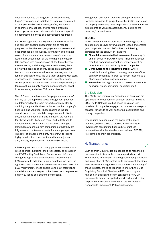best practices into the long-term business strategy. Engagements are also initiated, for example, as a result of changes in ESG performance/profile, the agenda of shareholder meetings, and/or media attention. Any progress made on milestones in the roadmaps will be documented in these company-specific roadmaps.

All LRE engagements are logged in a shared Excel file and company specific engagement file to monitor progress. Within the team, engagement successes and best practices are discussed. Information and insights gained from company analysis and engagement may lead to a re-assessment of the holding in a company. LRE engages with companies on all the three themes: environmental, social and governance However, there are varying degrees of priority based on materiality in terms of risk and return to investee company and the fund. In addition to this, the LRE team engages with stock exchanges and regulatory bodies in order to discuss current policies and anticipated policy changes relating to topics such as minority shareholder protections, board independence, and other ESG related issues.

The LRE team has developed "engagement roadmaps" that lay out the top value added engagement priorities, as determined by the team for each company, clearly outlining the potential financial impact on the company's financials and valuation. These roadmaps include descriptions of the material changes we would like to see, a substantiation of financial impact, the rationale for why we would like to see them, and milestones to measure company progress against these changes. Roadmaps are shared with companies so that they are fully aware of the team's expectations and perspectives. This level of engagement clarity has shown to lead to highly constructive conversations with management, and, thereby, to progress on material ESG factors.

PGGM applies customized voting principles across all its listed equities, including listed real estate, as detailed in our PGGM Voting Guidelines. Our active and informed voting strategy allows us to address a wide variety of ESG matters. In addition, in many countries, we have the right to submit shareholder resolutions as a last resort for ESG improvement. These enable us to draw attention to material issues and request other investors to express an opinion by voting at a shareholder meeting.

Engagement and voting presents an opportunity for our portfolio managers to gauge the sophistication and vision of company leadership. This helps them to make informed adjustments to valuation assumptions, including the premium/discount rates.

#### Litigation

When necessary, we institute legal proceedings against companies to recover any investment losses and enforce good corporate conduct. PGGM has the following principles for the conduct of litigation:

- Financial proceeds to limit damages: Recovering for and on behalf of PGGM's clients' investment losses resulting from fraud, corruption, embezzlement or other forms of misconduct by listed companies.
- Contribution to the risk-return profile: Where possible, improving the corporate governance of the company concerned in order to remain invested as a shareholder with a long-term outlook.
- **COL Prevention:** Setting standards to prevent undesirable behaviour (fraud, corruption, deception etc.).

#### 3.d Exclusion

The [PGGM Implementation Guidelines on Exclusion](https://www.pggm.nl/media/f4zoxray/responsible-investment-implementation-framework_pggm.pdfhttps:/www.pggm.nl/media/f4zoxray/responsible-investment-implementation-framework_pggm.pdf) are applicable to investments in all asset classes, including LRE. The PGGM-wide product-based Exclusion List consists of companies engaged in controversial weapons, tobacco, tar sands as well as thermal coal utilities and mining companies.

By excluding companies on the basis of the above elements, PGGM seeks to prevent PGGM-managed investments contributing financially to practices incompatible with the standards and values of PGGM, its clients and their beneficiaries.

## 4. Transparency

Each quarter LRE provides an update of its responsible investment activities in the clients' quarterly report. This includes information regarding stewardship activities and integration of ESG-factors in its investment decisions. Also, any relevant negative impacts and our monitoring of these impacts, are to be reported in line with the SFDR Regulatory Technical Standards (RTS) once they are finalized. In addition the team contributes to PGGM Investments annual Integrated report and report on its responsible investment activities in the Principles of Responsible Investment (PRI) annual survey.